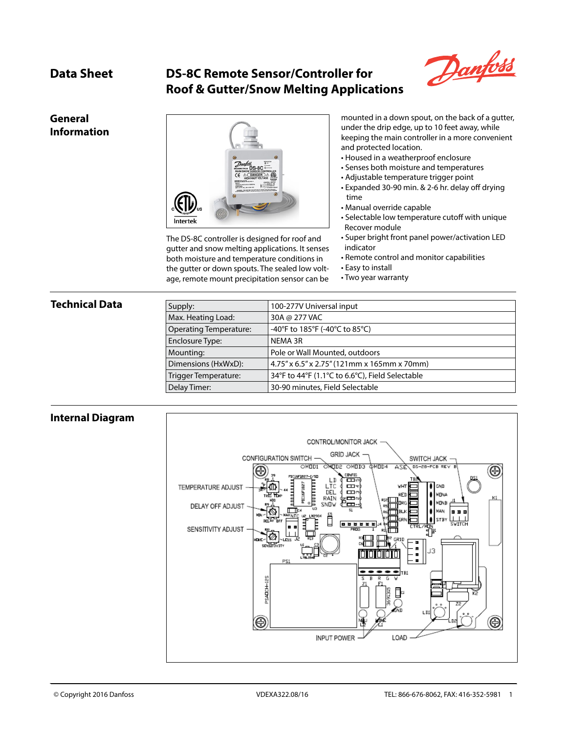# **Data Sheet DS-8C Remote Sensor/Controller for Roof & Gutter/Snow Melting Applications**



### **General Information**



The DS-8C controller is designed for roof and gutter and snow melting applications. It senses both moisture and temperature conditions in the gutter or down spouts. The sealed low voltage, remote mount precipitation sensor can be

mounted in a down spout, on the back of a gutter, under the drip edge, up to 10 feet away, while keeping the main controller in a more convenient and protected location.

- Housed in a weatherproof enclosure
- Senses both moisture and temperatures
- Adjustable temperature trigger point
- Expanded 30-90 min. & 2-6 hr. delay off drying time
- Manual override capable
- Selectable low temperature cutoff with unique Recover module
- Super bright front panel power/activation LED indicator
- Remote control and monitor capabilities
- Easy to install
- Two year warranty

### **Technical Data**

| Supply:                       | 100-277V Universal input                        |
|-------------------------------|-------------------------------------------------|
| Max. Heating Load:            | 30A @ 277 VAC                                   |
| <b>Operating Temperature:</b> | -40°F to 185°F (-40°C to 85°C)                  |
| Enclosure Type:               | NEMA 3R                                         |
| Mounting:                     | Pole or Wall Mounted, outdoors                  |
| Dimensions (HxWxD):           | 4.75" x 6.5" x 2.75" (121mm x 165mm x 70mm)     |
| Trigger Temperature:          | 34°F to 44°F (1.1°C to 6.6°C), Field Selectable |
| Delay Timer:                  | 30-90 minutes, Field Selectable                 |

### **Internal Diagram**